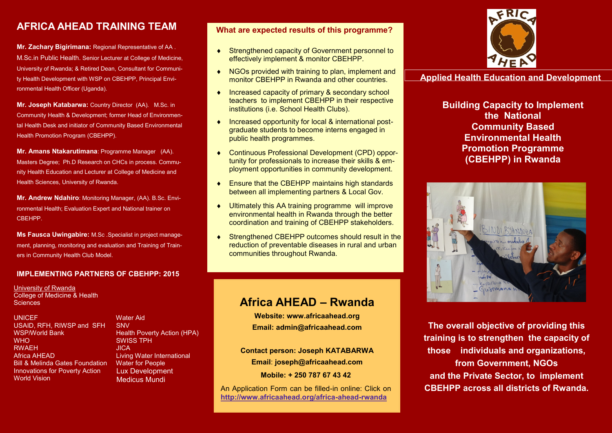# **AFRICA AHEAD TRAINING TEAM**

**Mr. Zachary Bigirimana:** Regional Representative of AA . M.Sc.in Public Health. Senior Lecturer at College of Medicine, University of Rwanda; & Retired Dean, Consultant for Community Health Development with WSP on CBEHPP, Principal Environmental Health Officer (Uganda).

**Mr. Joseph Katabarwa:** Country Director (AA). M.Sc. in Community Health & Development; former Head of Environmental Health Desk and initiator of Community Based Environmental Health Promotion Program (CBEHPP).

**Mr. Amans Ntakarutimana**: Programme Manager (AA). Masters Degree; Ph.D Research on CHCs in process. Community Health Education and Lecturer at College of Medicine and Health Sciences, University of Rwanda.

**Mr. Andrew Ndahiro**: Monitoring Manager, (AA). B.Sc. Environmental Health; Evaluation Expert and National trainer on CBEHPP.

**Ms Fausca Uwingabire:** M.Sc .Specialist in project management, planning, monitoring and evaluation and Training of Trainers in Community Health Club Model.

# **IMPLEMENTING PARTNERS OF CBEHPP: 2015**

University of Rwanda College of Medicine & Health **Sciences** 

**UNICEF** USAID, RFH, RIWSP and SFH WSP/World Bank **WHO** RWAEH Africa AHEAD Bill & Melinda Gates Foundation Innovations for Poverty Action World Vision

 Water Aid SNV Health Poverty Action (HPA) SWISS TPH **JICA**  Living Water International Water for People Lux Development Medicus Mundi

# **What are expected results of this programme?**

- ◆ Strengthened capacity of Government personnel to effectively implement & monitor CBEHPP.
- ◆ NGOs provided with training to plan, implement and monitor CBEHPP in Rwanda and other countries.
- ◆ Increased capacity of primary & secondary school teachers to implement CBEHPP in their respective institutions (i.e. School Health Clubs).
- ◆ Increased opportunity for local & international postgraduate students to become interns engaged in public health programmes.
- Continuous Professional Development (CPD) opportunity for professionals to increase their skills & employment opportunities in community development.
- ◆ Ensure that the CBEHPP maintains high standards between all implementing partners & Local Gov.
- Ultimately this AA training programme will improve environmental health in Rwanda through the better coordination and training of CBEHPP stakeholders.
- ◆ Strengthened CBEHPP outcomes should result in the reduction of preventable diseases in rural and urban communities throughout Rwanda.

# **Africa AHEAD – Rwanda**

**Website: www.africaahead.org Email: admin@africaahead.com**

**Contact person: Joseph KATABARWA Email**: **joseph@africaahead.com**

**Mobile: + 250 787 67 43 42**

An Application Form can be filled-in online: Click on **http://www.africaahead.org/africa-ahead-rwanda**



**Applied Health Education and Development**

**Building Capacity to Implement the National Community Based Environmental Health Promotion Programme (CBEHPP) in Rwanda** 



**The overall objective of providing this training is to strengthen the capacity of those individuals and organizations, from Government, NGOs and the Private Sector, to implement CBEHPP across all districts of Rwanda.**